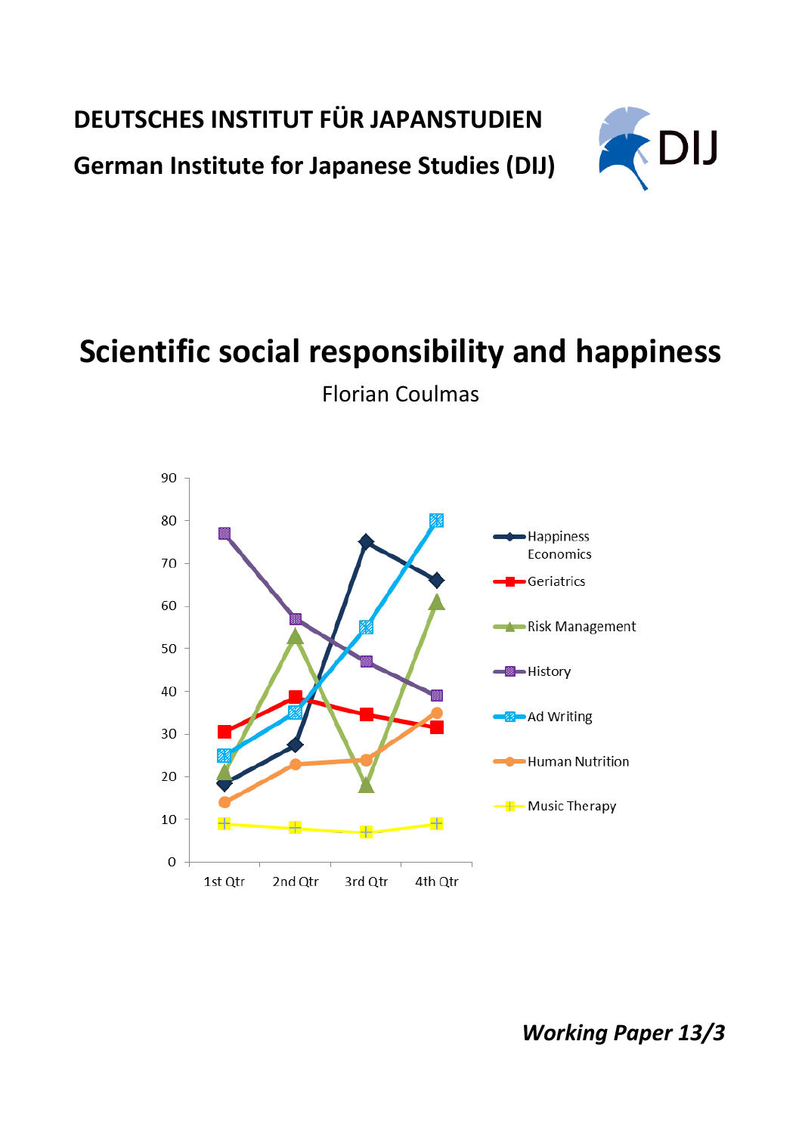**DEUTSCHES INSTITUT FÜR JAPANSTUDIEN**

**German Institute for Japanese Studies (DIJ)**



## **Scientific social responsibility and happiness**



Florian Coulmas

*Working Paper 13/3*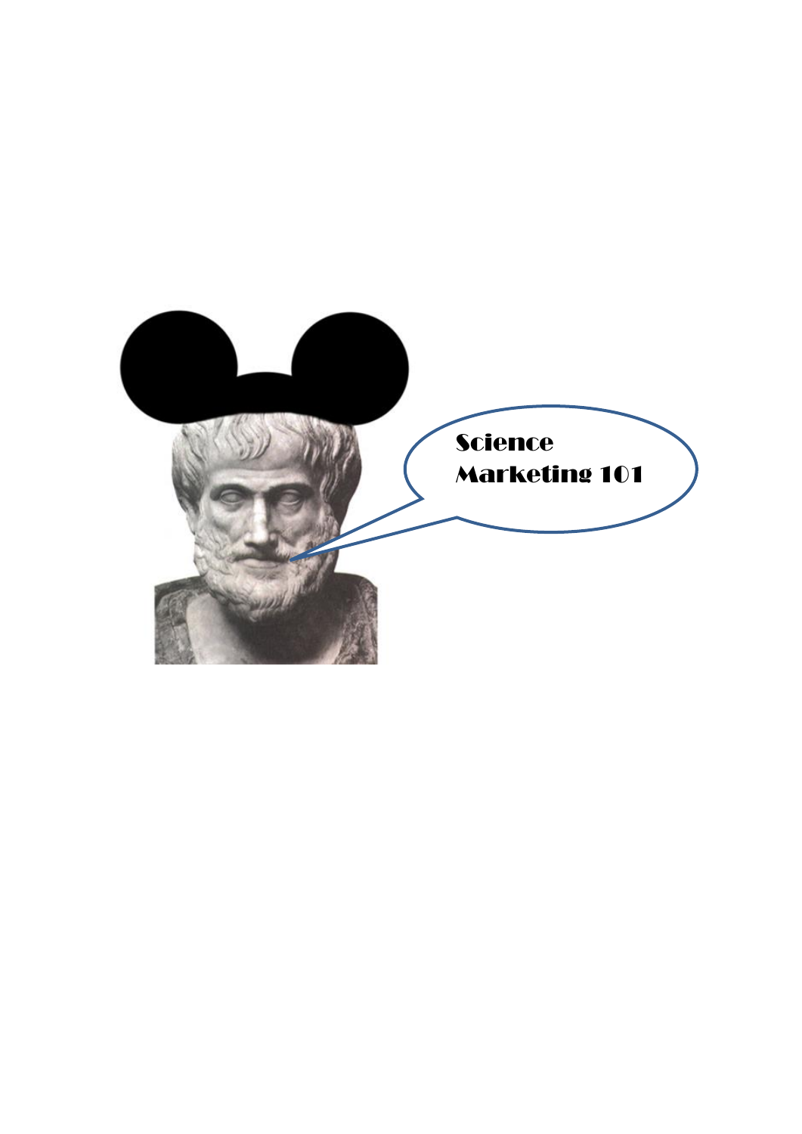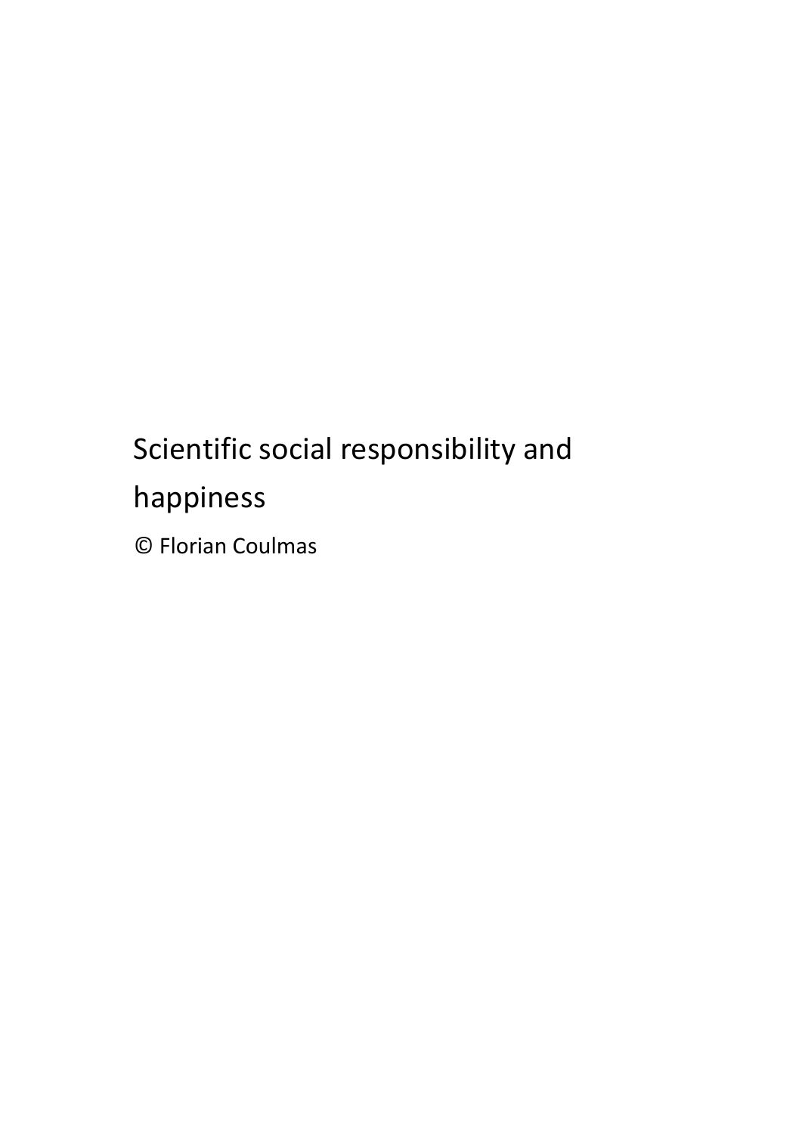# Scientific social responsibility and happiness © Florian Coulmas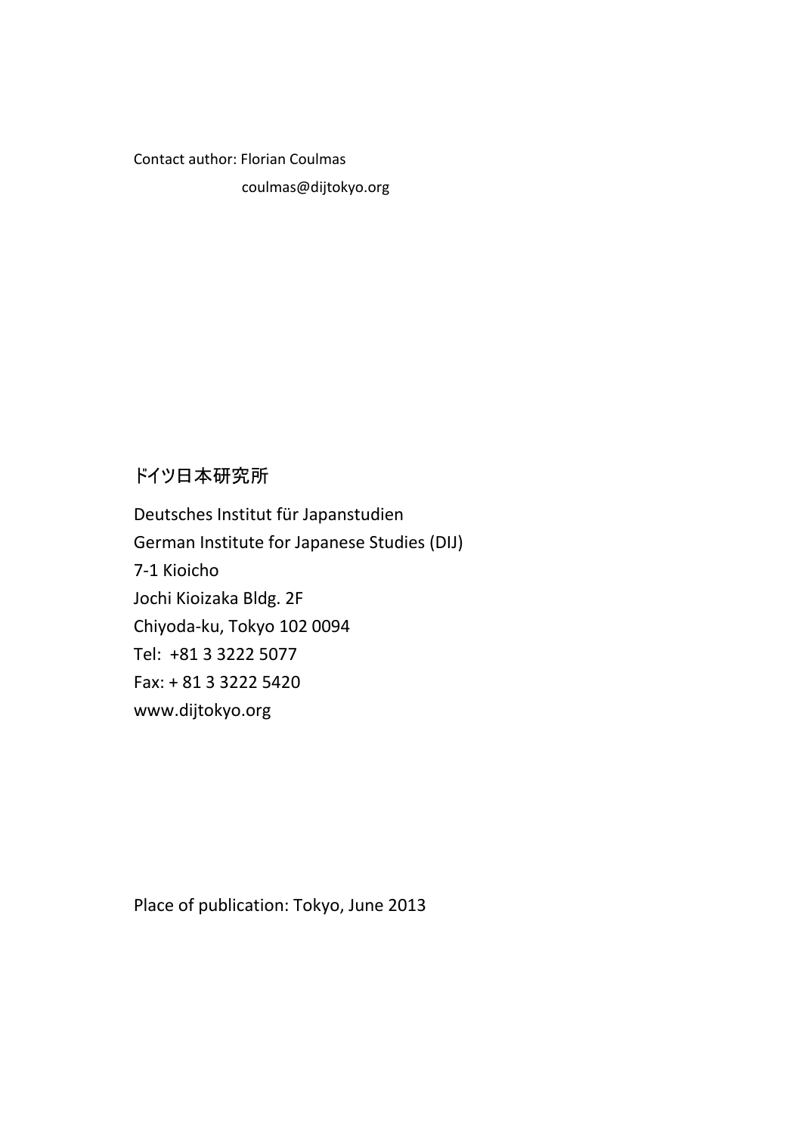Contact author: Florian Coulmas

coulmas@dijtokyo.org

### ドイツ日本研究所

Deutsches Institut für Japanstudien German Institute for Japanese Studies (DIJ) 7-1 Kioicho Jochi Kioizaka Bldg. 2F Chiyoda-ku, Tokyo 102 0094 Tel: +81 3 3222 5077 Fax: + 81 3 3222 5420 www.dijtokyo.org

Place of publication: Tokyo, June 2013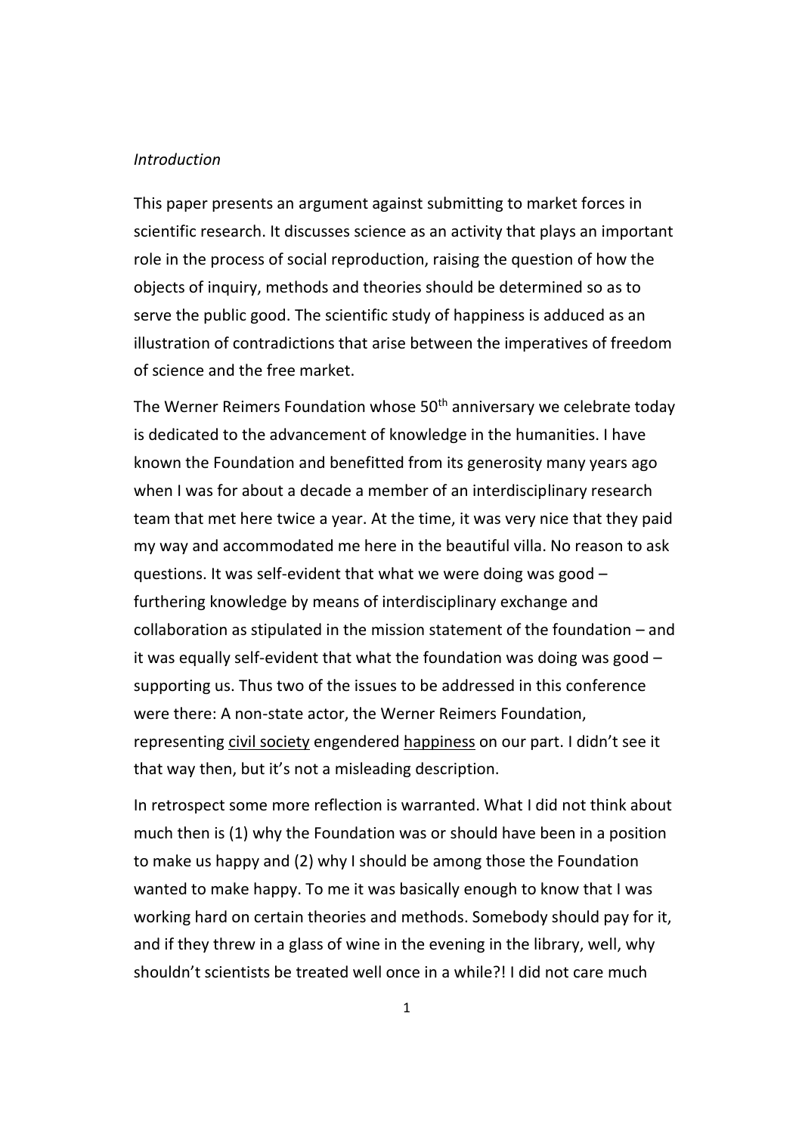#### *Introduction*

This paper presents an argument against submitting to market forces in scientific research. It discusses science as an activity that plays an important role in the process of social reproduction, raising the question of how the objects of inquiry, methods and theories should be determined so as to serve the public good. The scientific study of happiness is adduced as an illustration of contradictions that arise between the imperatives of freedom of science and the free market.

The Werner Reimers Foundation whose 50<sup>th</sup> anniversary we celebrate today is dedicated to the advancement of knowledge in the humanities. I have known the Foundation and benefitted from its generosity many years ago when I was for about a decade a member of an interdisciplinary research team that met here twice a year. At the time, it was very nice that they paid my way and accommodated me here in the beautiful villa. No reason to ask questions. It was self-evident that what we were doing was good – furthering knowledge by means of interdisciplinary exchange and collaboration as stipulated in the mission statement of the foundation – and it was equally self-evident that what the foundation was doing was good – supporting us. Thus two of the issues to be addressed in this conference were there: A non-state actor, the Werner Reimers Foundation, representing civil society engendered happiness on our part. I didn't see it that way then, but it's not a misleading description.

In retrospect some more reflection is warranted. What I did not think about much then is (1) why the Foundation was or should have been in a position to make us happy and (2) why I should be among those the Foundation wanted to make happy. To me it was basically enough to know that I was working hard on certain theories and methods. Somebody should pay for it, and if they threw in a glass of wine in the evening in the library, well, why shouldn't scientists be treated well once in a while?! I did not care much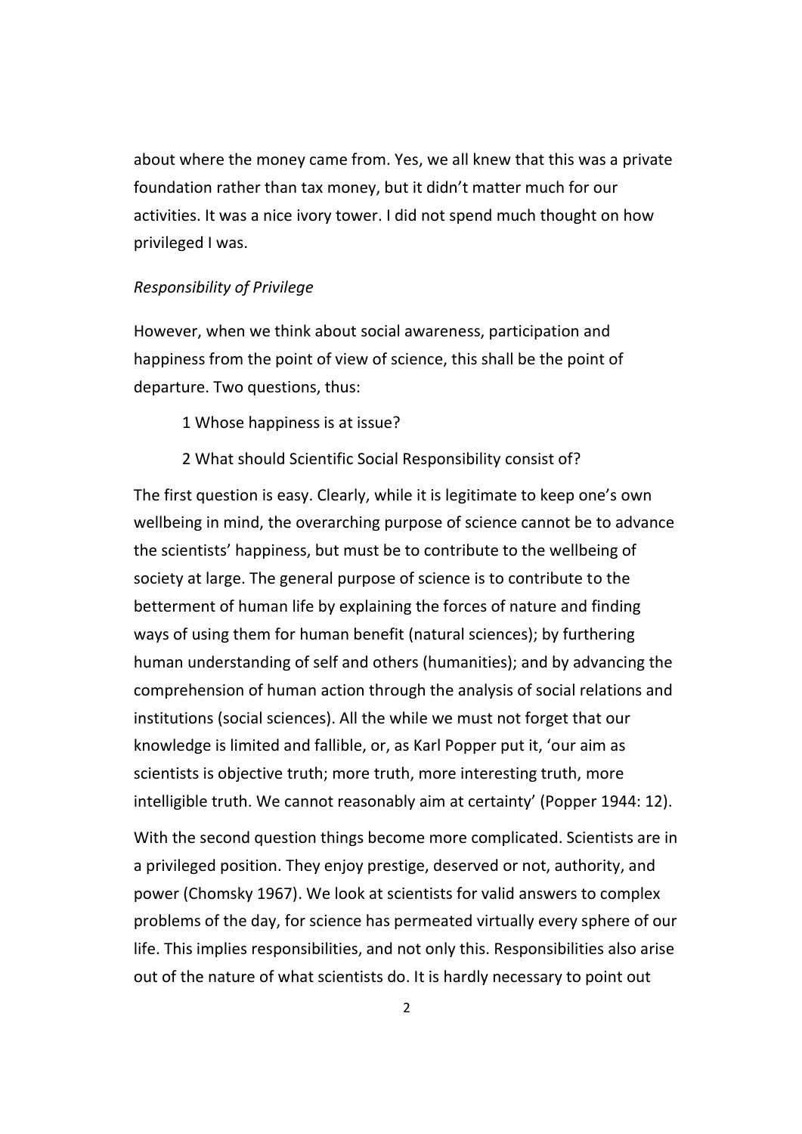about where the money came from. Yes, we all knew that this was a private foundation rather than tax money, but it didn't matter much for our activities. It was a nice ivory tower. I did not spend much thought on how privileged I was.

#### *Responsibility of Privilege*

However, when we think about social awareness, participation and happiness from the point of view of science, this shall be the point of departure. Two questions, thus:

1 Whose happiness is at issue?

#### 2 What should Scientific Social Responsibility consist of?

The first question is easy. Clearly, while it is legitimate to keep one's own wellbeing in mind, the overarching purpose of science cannot be to advance the scientists' happiness, but must be to contribute to the wellbeing of society at large. The general purpose of science is to contribute to the betterment of human life by explaining the forces of nature and finding ways of using them for human benefit (natural sciences); by furthering human understanding of self and others (humanities); and by advancing the comprehension of human action through the analysis of social relations and institutions (social sciences). All the while we must not forget that our knowledge is limited and fallible, or, as Karl Popper put it, 'our aim as scientists is objective truth; more truth, more interesting truth, more intelligible truth. We cannot reasonably aim at certainty' (Popper 1944: 12).

With the second question things become more complicated. Scientists are in a privileged position. They enjoy prestige, deserved or not, authority, and power (Chomsky 1967). We look at scientists for valid answers to complex problems of the day, for science has permeated virtually every sphere of our life. This implies responsibilities, and not only this. Responsibilities also arise out of the nature of what scientists do. It is hardly necessary to point out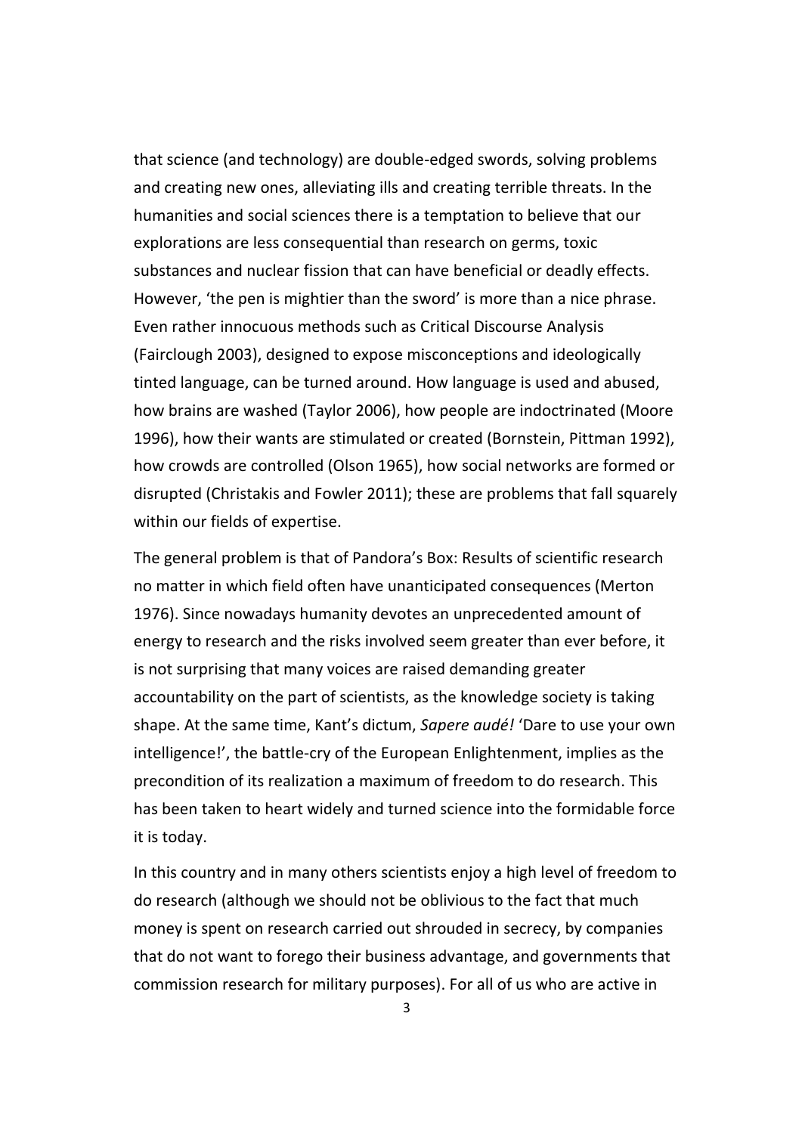that science (and technology) are double-edged swords, solving problems and creating new ones, alleviating ills and creating terrible threats. In the humanities and social sciences there is a temptation to believe that our explorations are less consequential than research on germs, toxic substances and nuclear fission that can have beneficial or deadly effects. However, 'the pen is mightier than the sword' is more than a nice phrase. Even rather innocuous methods such as Critical Discourse Analysis (Fairclough 2003), designed to expose misconceptions and ideologically tinted language, can be turned around. How language is used and abused, how brains are washed (Taylor 2006), how people are indoctrinated (Moore 1996), how their wants are stimulated or created (Bornstein, Pittman 1992), how crowds are controlled (Olson 1965), how social networks are formed or disrupted (Christakis and Fowler 2011); these are problems that fall squarely within our fields of expertise.

The general problem is that of Pandora's Box: Results of scientific research no matter in which field often have unanticipated consequences (Merton 1976). Since nowadays humanity devotes an unprecedented amount of energy to research and the risks involved seem greater than ever before, it is not surprising that many voices are raised demanding greater accountability on the part of scientists, as the knowledge society is taking shape. At the same time, Kant's dictum, *Sapere audé!* 'Dare to use your own intelligence!', the battle-cry of the European Enlightenment, implies as the precondition of its realization a maximum of freedom to do research. This has been taken to heart widely and turned science into the formidable force it is today.

In this country and in many others scientists enjoy a high level of freedom to do research (although we should not be oblivious to the fact that much money is spent on research carried out shrouded in secrecy, by companies that do not want to forego their business advantage, and governments that commission research for military purposes). For all of us who are active in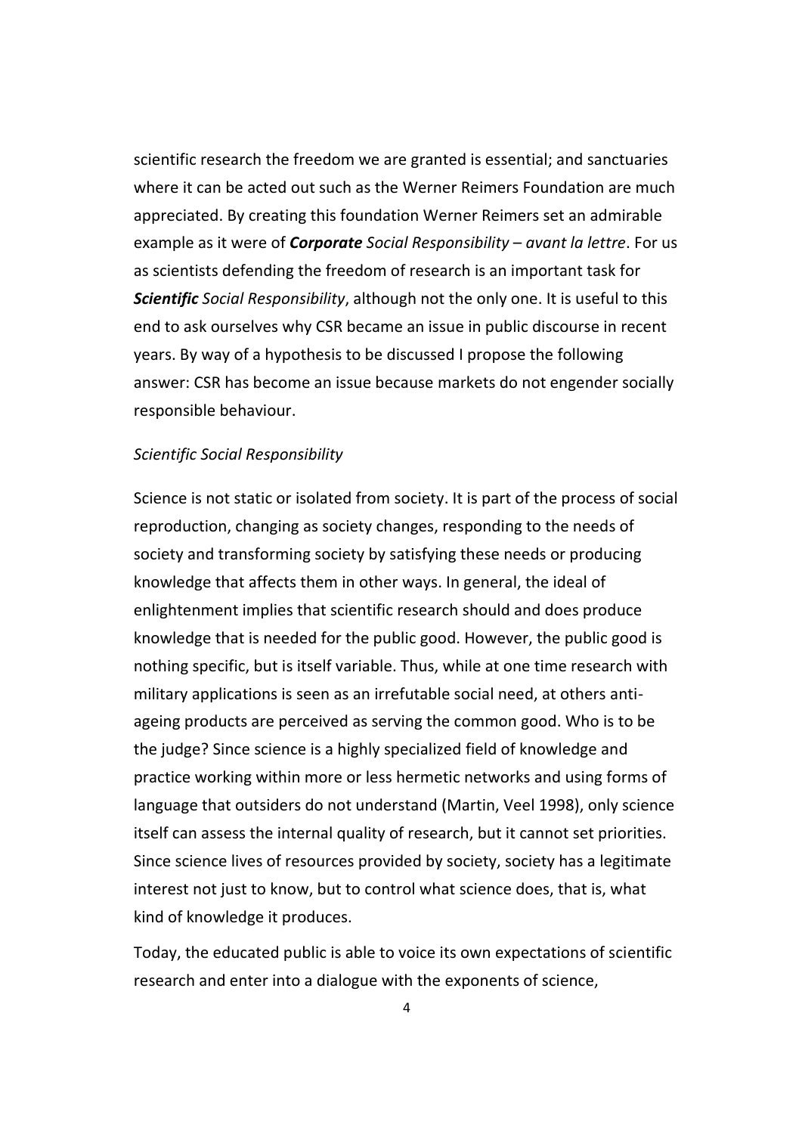scientific research the freedom we are granted is essential; and sanctuaries where it can be acted out such as the Werner Reimers Foundation are much appreciated. By creating this foundation Werner Reimers set an admirable example as it were of *Corporate Social Responsibility* – *avant la lettre*. For us as scientists defending the freedom of research is an important task for *Scientific Social Responsibility*, although not the only one. It is useful to this end to ask ourselves why CSR became an issue in public discourse in recent years. By way of a hypothesis to be discussed I propose the following answer: CSR has become an issue because markets do not engender socially responsible behaviour.

#### *Scientific Social Responsibility*

Science is not static or isolated from society. It is part of the process of social reproduction, changing as society changes, responding to the needs of society and transforming society by satisfying these needs or producing knowledge that affects them in other ways. In general, the ideal of enlightenment implies that scientific research should and does produce knowledge that is needed for the public good. However, the public good is nothing specific, but is itself variable. Thus, while at one time research with military applications is seen as an irrefutable social need, at others antiageing products are perceived as serving the common good. Who is to be the judge? Since science is a highly specialized field of knowledge and practice working within more or less hermetic networks and using forms of language that outsiders do not understand (Martin, Veel 1998), only science itself can assess the internal quality of research, but it cannot set priorities. Since science lives of resources provided by society, society has a legitimate interest not just to know, but to control what science does, that is, what kind of knowledge it produces.

Today, the educated public is able to voice its own expectations of scientific research and enter into a dialogue with the exponents of science,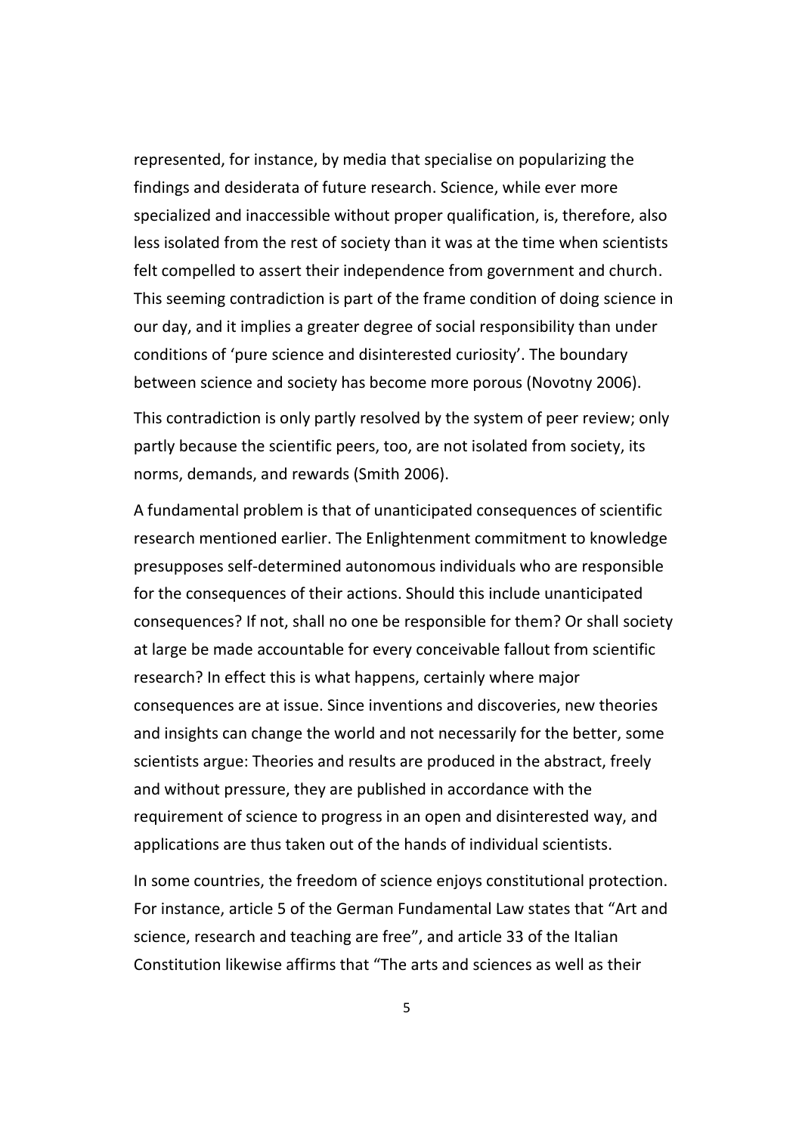represented, for instance, by media that specialise on popularizing the findings and desiderata of future research. Science, while ever more specialized and inaccessible without proper qualification, is, therefore, also less isolated from the rest of society than it was at the time when scientists felt compelled to assert their independence from government and church. This seeming contradiction is part of the frame condition of doing science in our day, and it implies a greater degree of social responsibility than under conditions of 'pure science and disinterested curiosity'. The boundary between science and society has become more porous (Novotny 2006).

This contradiction is only partly resolved by the system of peer review; only partly because the scientific peers, too, are not isolated from society, its norms, demands, and rewards (Smith 2006).

A fundamental problem is that of unanticipated consequences of scientific research mentioned earlier. The Enlightenment commitment to knowledge presupposes self-determined autonomous individuals who are responsible for the consequences of their actions. Should this include unanticipated consequences? If not, shall no one be responsible for them? Or shall society at large be made accountable for every conceivable fallout from scientific research? In effect this is what happens, certainly where major consequences are at issue. Since inventions and discoveries, new theories and insights can change the world and not necessarily for the better, some scientists argue: Theories and results are produced in the abstract, freely and without pressure, they are published in accordance with the requirement of science to progress in an open and disinterested way, and applications are thus taken out of the hands of individual scientists.

In some countries, the freedom of science enjoys constitutional protection. For instance, article 5 of the German Fundamental Law states that "Art and science, research and teaching are free", and article 33 of the Italian Constitution likewise affirms that "The arts and sciences as well as their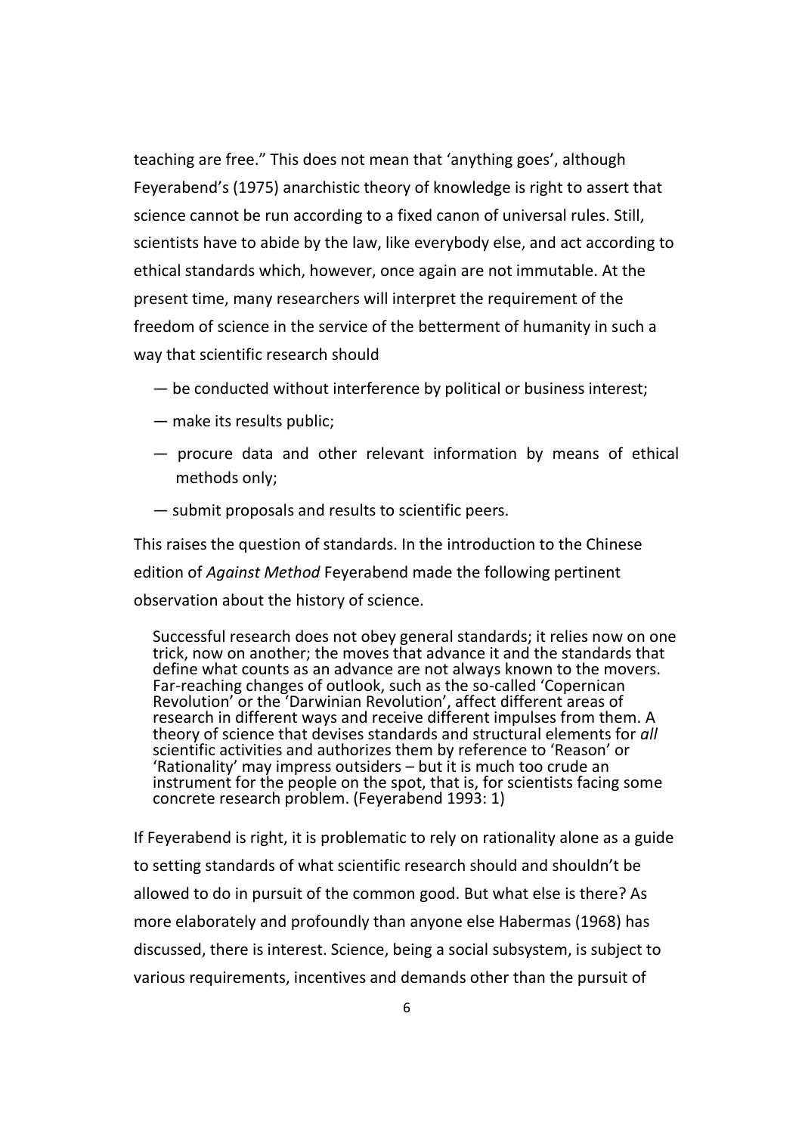teaching are free." This does not mean that 'anything goes', although Feyerabend's (1975) anarchistic theory of knowledge is right to assert that science cannot be run according to a fixed canon of universal rules. Still, scientists have to abide by the law, like everybody else, and act according to ethical standards which, however, once again are not immutable. At the present time, many researchers will interpret the requirement of the freedom of science in the service of the betterment of humanity in such a way that scientific research should

- be conducted without interference by political or business interest;
- make its results public;
- procure data and other relevant information by means of ethical methods only;
- submit proposals and results to scientific peers.

This raises the question of standards. In the introduction to the Chinese edition of *Against Method* Feyerabend made the following pertinent observation about the history of science.

Successful research does not obey general standards; it relies now on one trick, now on another; the moves that advance it and the standards that define what counts as an advance are not always known to the movers. Far-reaching changes of outlook, such as the so-called 'Copernican Revolution' or the 'Darwinian Revolution', affect different areas of research in different ways and receive different impulses from them. A theory of science that devises standards and structural elements for *all* scientific activities and authorizes them by reference to 'Reason' or 'Rationality' may impress outsiders – but it is much too crude an instrument for the people on the spot, that is, for scientists facing some concrete research problem. (Feyerabend 1993: 1)

If Feyerabend is right, it is problematic to rely on rationality alone as a guide to setting standards of what scientific research should and shouldn't be allowed to do in pursuit of the common good. But what else is there? As more elaborately and profoundly than anyone else Habermas (1968) has discussed, there is interest. Science, being a social subsystem, is subject to various requirements, incentives and demands other than the pursuit of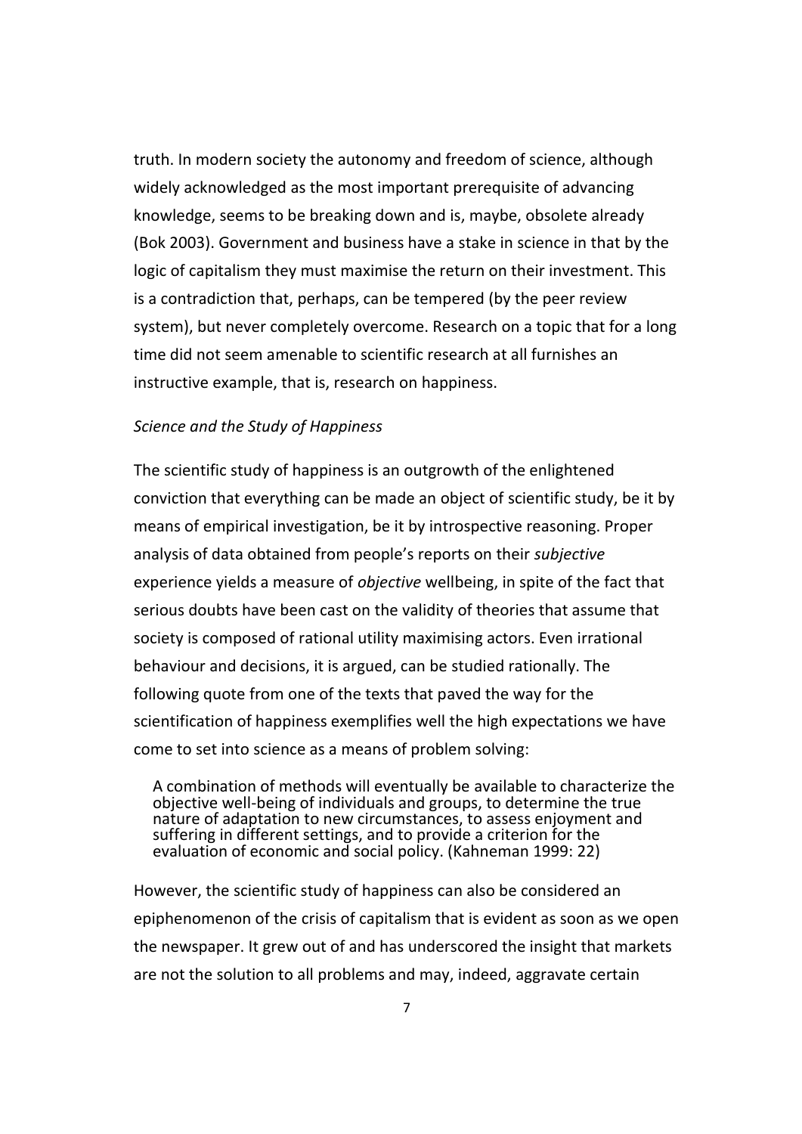truth. In modern society the autonomy and freedom of science, although widely acknowledged as the most important prerequisite of advancing knowledge, seems to be breaking down and is, maybe, obsolete already (Bok 2003). Government and business have a stake in science in that by the logic of capitalism they must maximise the return on their investment. This is a contradiction that, perhaps, can be tempered (by the peer review system), but never completely overcome. Research on a topic that for a long time did not seem amenable to scientific research at all furnishes an instructive example, that is, research on happiness.

#### *Science and the Study of Happiness*

The scientific study of happiness is an outgrowth of the enlightened conviction that everything can be made an object of scientific study, be it by means of empirical investigation, be it by introspective reasoning. Proper analysis of data obtained from people's reports on their *subjective* experience yields a measure of *objective* wellbeing, in spite of the fact that serious doubts have been cast on the validity of theories that assume that society is composed of rational utility maximising actors. Even irrational behaviour and decisions, it is argued, can be studied rationally. The following quote from one of the texts that paved the way for the scientification of happiness exemplifies well the high expectations we have come to set into science as a means of problem solving:

A combination of methods will eventually be available to characterize the objective well-being of individuals and groups, to determine the true nature of adaptation to new circumstances, to assess enjoyment and suffering in different settings, and to provide a criterion for the evaluation of economic and social policy. (Kahneman 1999: 22)

However, the scientific study of happiness can also be considered an epiphenomenon of the crisis of capitalism that is evident as soon as we open the newspaper. It grew out of and has underscored the insight that markets are not the solution to all problems and may, indeed, aggravate certain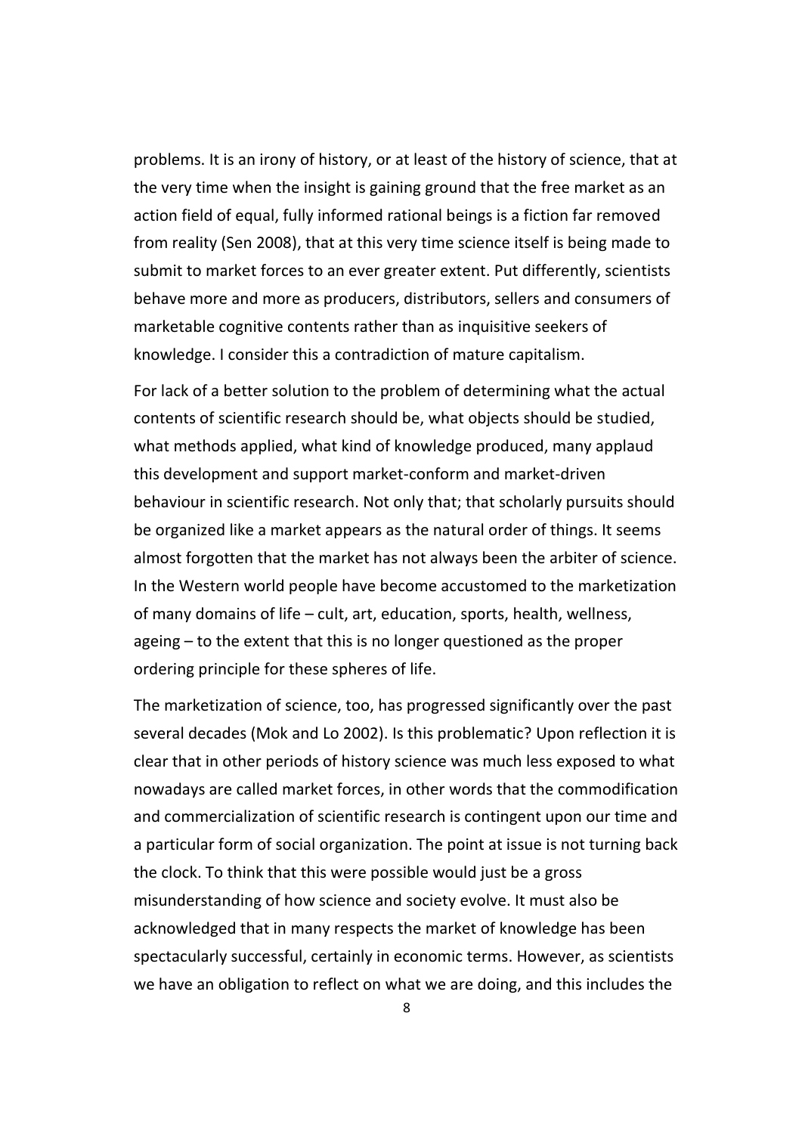problems. It is an irony of history, or at least of the history of science, that at the very time when the insight is gaining ground that the free market as an action field of equal, fully informed rational beings is a fiction far removed from reality (Sen 2008), that at this very time science itself is being made to submit to market forces to an ever greater extent. Put differently, scientists behave more and more as producers, distributors, sellers and consumers of marketable cognitive contents rather than as inquisitive seekers of knowledge. I consider this a contradiction of mature capitalism.

For lack of a better solution to the problem of determining what the actual contents of scientific research should be, what objects should be studied, what methods applied, what kind of knowledge produced, many applaud this development and support market-conform and market-driven behaviour in scientific research. Not only that; that scholarly pursuits should be organized like a market appears as the natural order of things. It seems almost forgotten that the market has not always been the arbiter of science. In the Western world people have become accustomed to the marketization of many domains of life – cult, art, education, sports, health, wellness, ageing – to the extent that this is no longer questioned as the proper ordering principle for these spheres of life.

The marketization of science, too, has progressed significantly over the past several decades (Mok and Lo 2002). Is this problematic? Upon reflection it is clear that in other periods of history science was much less exposed to what nowadays are called market forces, in other words that the commodification and commercialization of scientific research is contingent upon our time and a particular form of social organization. The point at issue is not turning back the clock. To think that this were possible would just be a gross misunderstanding of how science and society evolve. It must also be acknowledged that in many respects the market of knowledge has been spectacularly successful, certainly in economic terms. However, as scientists we have an obligation to reflect on what we are doing, and this includes the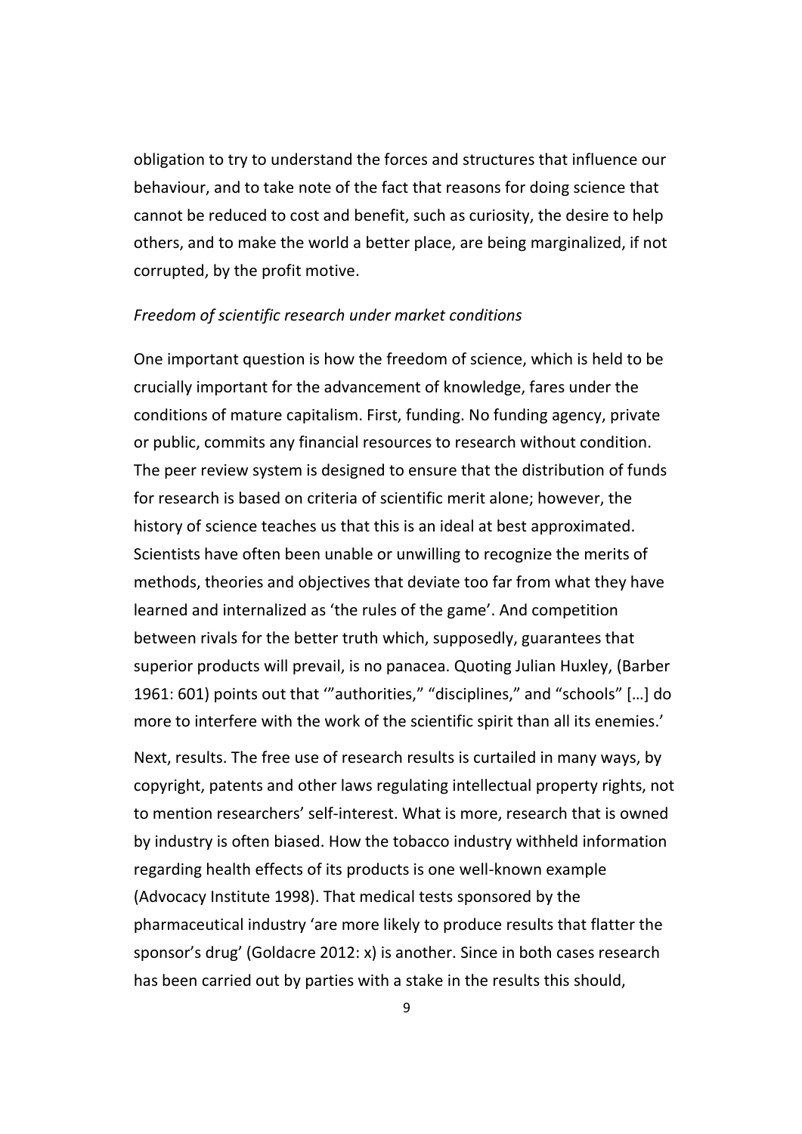obligation to try to understand the forces and structures that influence our behaviour, and to take note of the fact that reasons for doing science that cannot be reduced to cost and benefit, such as curiosity, the desire to help others, and to make the world a better place, are being marginalized, if not corrupted, by the profit motive.

#### *Freedom of scientific research under market conditions*

One important question is how the freedom of science, which is held to be crucially important for the advancement of knowledge, fares under the conditions of mature capitalism. First, funding. No funding agency, private or public, commits any financial resources to research without condition. The peer review system is designed to ensure that the distribution of funds for research is based on criteria of scientific merit alone; however, the history of science teaches us that this is an ideal at best approximated. Scientists have often been unable or unwilling to recognize the merits of methods, theories and objectives that deviate too far from what they have learned and internalized as 'the rules of the game'. And competition between rivals for the better truth which, supposedly, guarantees that superior products will prevail, is no panacea. Quoting Julian Huxley, (Barber 1961: 601) points out that '"authorities," "disciplines," and "schools" […] do more to interfere with the work of the scientific spirit than all its enemies.'

Next, results. The free use of research results is curtailed in many ways, by copyright, patents and other laws regulating intellectual property rights, not to mention researchers' self-interest. What is more, research that is owned by industry is often biased. How the tobacco industry withheld information regarding health effects of its products is one well-known example (Advocacy Institute 1998). That medical tests sponsored by the pharmaceutical industry 'are more likely to produce results that flatter the sponsor's drug' (Goldacre 2012: x) is another. Since in both cases research has been carried out by parties with a stake in the results this should,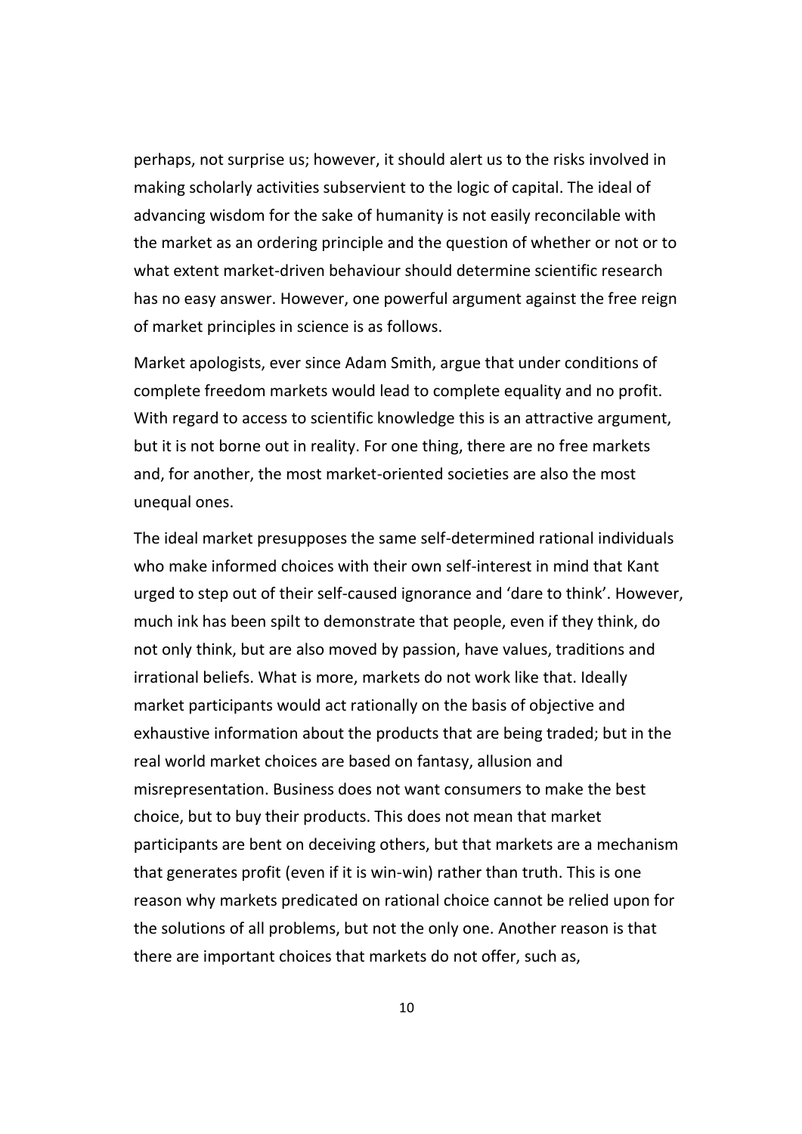perhaps, not surprise us; however, it should alert us to the risks involved in making scholarly activities subservient to the logic of capital. The ideal of advancing wisdom for the sake of humanity is not easily reconcilable with the market as an ordering principle and the question of whether or not or to what extent market-driven behaviour should determine scientific research has no easy answer. However, one powerful argument against the free reign of market principles in science is as follows.

Market apologists, ever since Adam Smith, argue that under conditions of complete freedom markets would lead to complete equality and no profit. With regard to access to scientific knowledge this is an attractive argument, but it is not borne out in reality. For one thing, there are no free markets and, for another, the most market-oriented societies are also the most unequal ones.

The ideal market presupposes the same self-determined rational individuals who make informed choices with their own self-interest in mind that Kant urged to step out of their self-caused ignorance and 'dare to think'. However, much ink has been spilt to demonstrate that people, even if they think, do not only think, but are also moved by passion, have values, traditions and irrational beliefs. What is more, markets do not work like that. Ideally market participants would act rationally on the basis of objective and exhaustive information about the products that are being traded; but in the real world market choices are based on fantasy, allusion and misrepresentation. Business does not want consumers to make the best choice, but to buy their products. This does not mean that market participants are bent on deceiving others, but that markets are a mechanism that generates profit (even if it is win-win) rather than truth. This is one reason why markets predicated on rational choice cannot be relied upon for the solutions of all problems, but not the only one. Another reason is that there are important choices that markets do not offer, such as,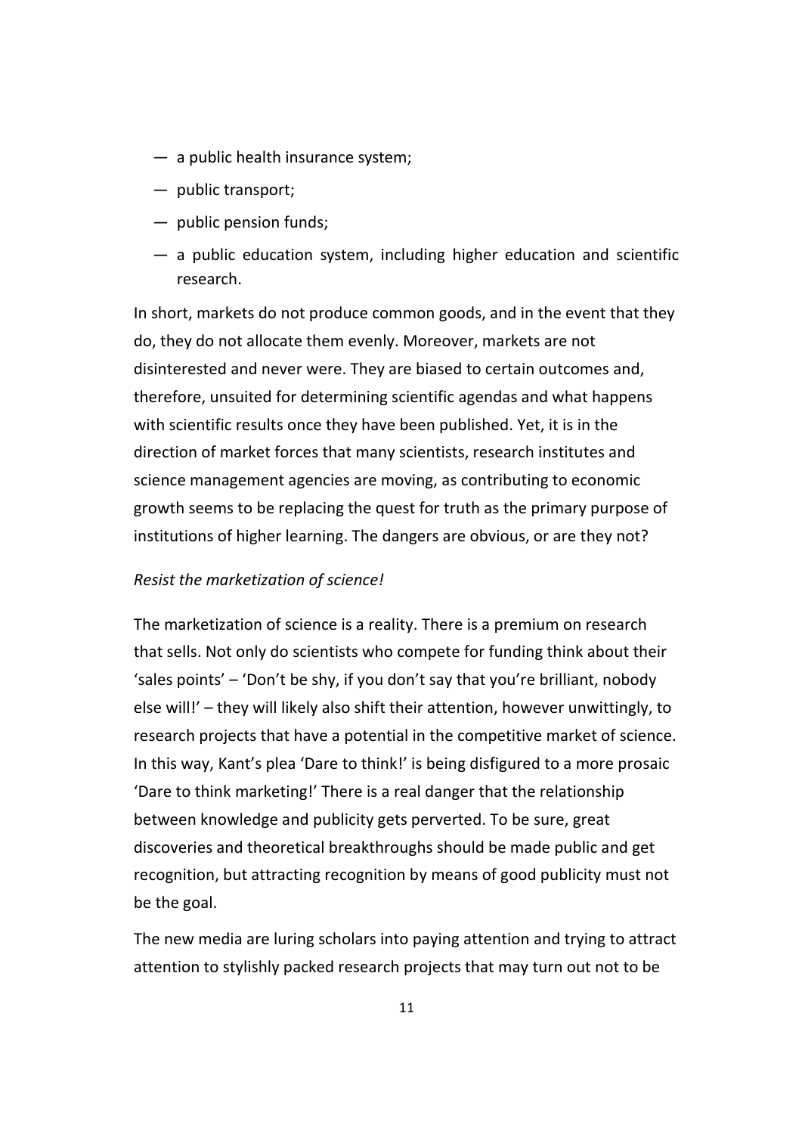- a public health insurance system;
- public transport;
- public pension funds;
- a public education system, including higher education and scientific research.

In short, markets do not produce common goods, and in the event that they do, they do not allocate them evenly. Moreover, markets are not disinterested and never were. They are biased to certain outcomes and, therefore, unsuited for determining scientific agendas and what happens with scientific results once they have been published. Yet, it is in the direction of market forces that many scientists, research institutes and science management agencies are moving, as contributing to economic growth seems to be replacing the quest for truth as the primary purpose of institutions of higher learning. The dangers are obvious, or are they not?

#### *Resist the marketization of science!*

The marketization of science is a reality. There is a premium on research that sells. Not only do scientists who compete for funding think about their 'sales points' – 'Don't be shy, if you don't say that you're brilliant, nobody else will!' – they will likely also shift their attention, however unwittingly, to research projects that have a potential in the competitive market of science. In this way, Kant's plea 'Dare to think!' is being disfigured to a more prosaic 'Dare to think marketing!' There is a real danger that the relationship between knowledge and publicity gets perverted. To be sure, great discoveries and theoretical breakthroughs should be made public and get recognition, but attracting recognition by means of good publicity must not be the goal.

The new media are luring scholars into paying attention and trying to attract attention to stylishly packed research projects that may turn out not to be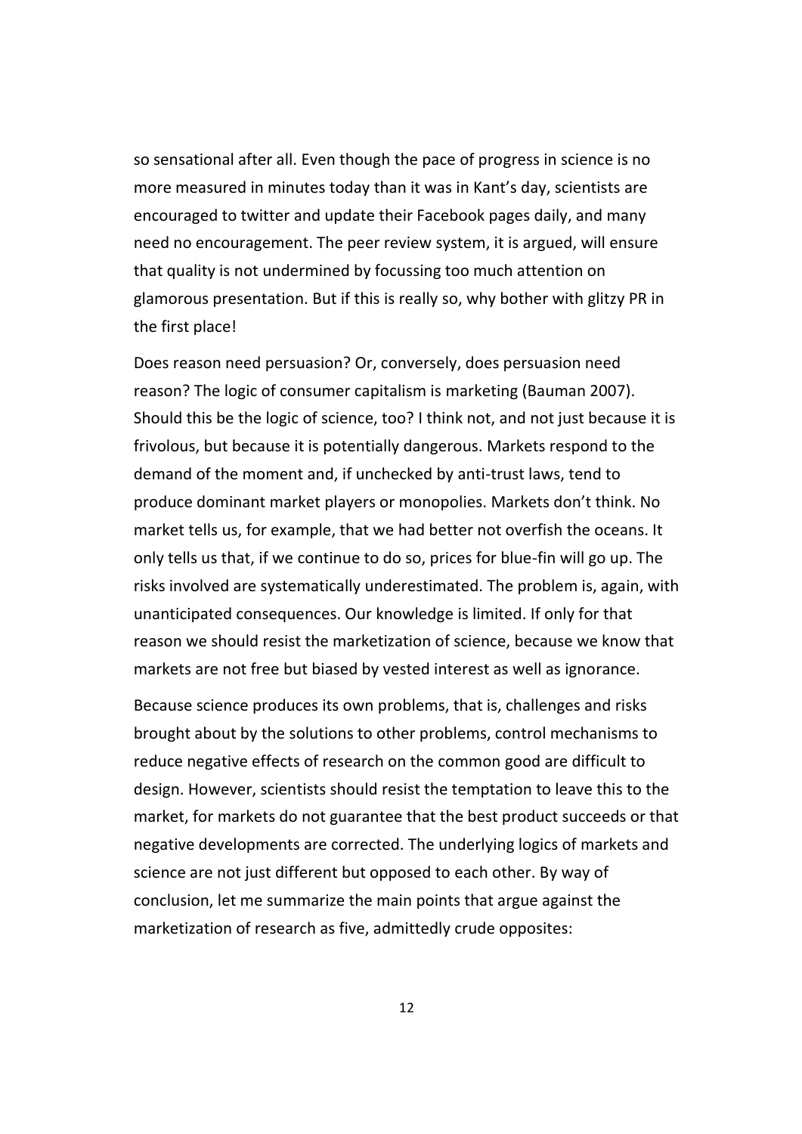so sensational after all. Even though the pace of progress in science is no more measured in minutes today than it was in Kant's day, scientists are encouraged to twitter and update their Facebook pages daily, and many need no encouragement. The peer review system, it is argued, will ensure that quality is not undermined by focussing too much attention on glamorous presentation. But if this is really so, why bother with glitzy PR in the first place!

Does reason need persuasion? Or, conversely, does persuasion need reason? The logic of consumer capitalism is marketing (Bauman 2007). Should this be the logic of science, too? I think not, and not just because it is frivolous, but because it is potentially dangerous. Markets respond to the demand of the moment and, if unchecked by anti-trust laws, tend to produce dominant market players or monopolies. Markets don't think. No market tells us, for example, that we had better not overfish the oceans. It only tells us that, if we continue to do so, prices for blue-fin will go up. The risks involved are systematically underestimated. The problem is, again, with unanticipated consequences. Our knowledge is limited. If only for that reason we should resist the marketization of science, because we know that markets are not free but biased by vested interest as well as ignorance.

Because science produces its own problems, that is, challenges and risks brought about by the solutions to other problems, control mechanisms to reduce negative effects of research on the common good are difficult to design. However, scientists should resist the temptation to leave this to the market, for markets do not guarantee that the best product succeeds or that negative developments are corrected. The underlying logics of markets and science are not just different but opposed to each other. By way of conclusion, let me summarize the main points that argue against the marketization of research as five, admittedly crude opposites: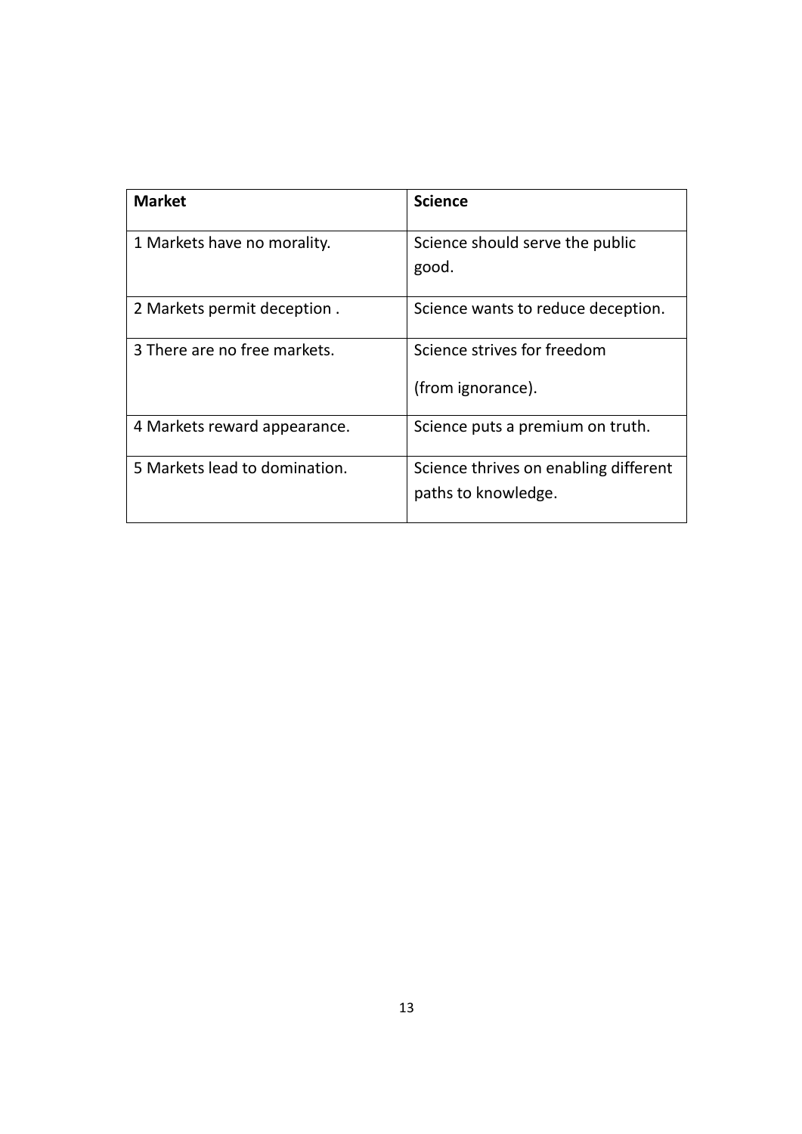| <b>Market</b>                 | <b>Science</b>                                               |
|-------------------------------|--------------------------------------------------------------|
| 1 Markets have no morality.   | Science should serve the public<br>good.                     |
| 2 Markets permit deception.   | Science wants to reduce deception.                           |
| 3 There are no free markets.  | Science strives for freedom<br>(from ignorance).             |
| 4 Markets reward appearance.  | Science puts a premium on truth.                             |
| 5 Markets lead to domination. | Science thrives on enabling different<br>paths to knowledge. |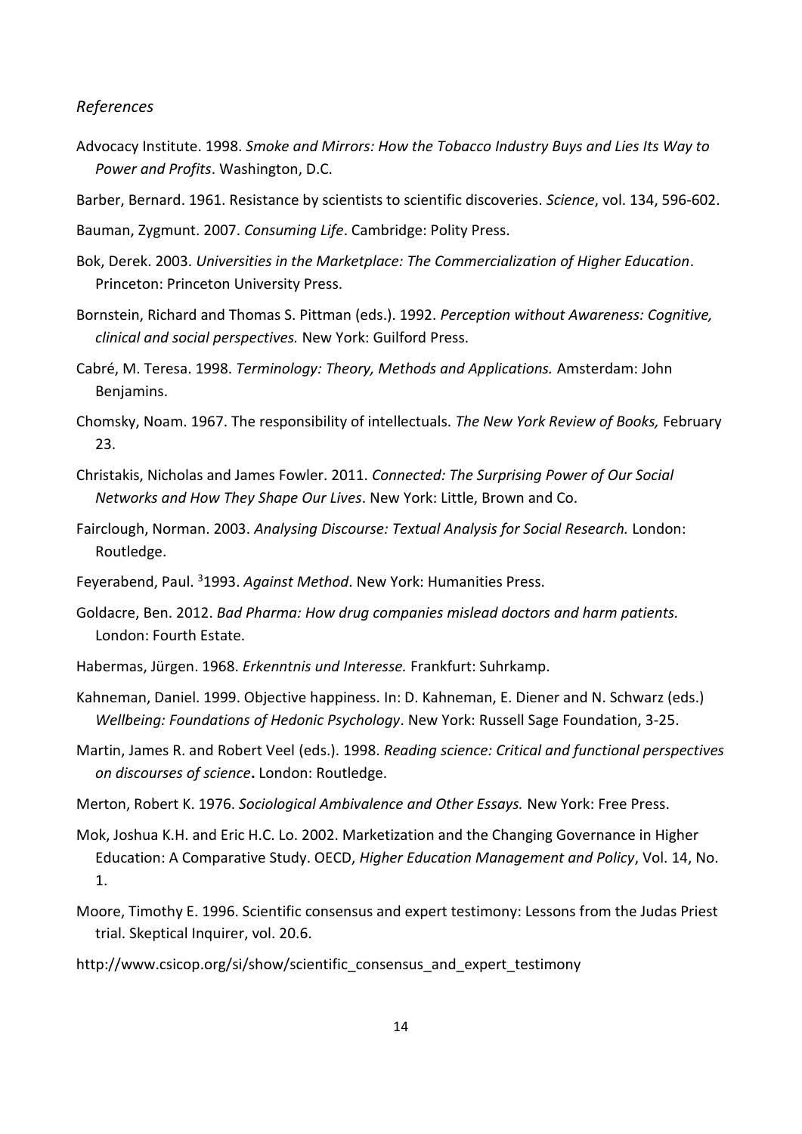#### *References*

- Advocacy Institute. 1998. *Smoke and Mirrors: How the Tobacco Industry Buys and Lies Its Way to Power and Profits*. Washington, D.C.
- Barber, Bernard. 1961. Resistance by scientists to scientific discoveries. *Science*, vol. 134, 596-602.
- Bauman, Zygmunt. 2007. *Consuming Life*. Cambridge: Polity Press.
- Bok, Derek. 2003. *Universities in the Marketplace: The Commercialization of Higher Education*. Princeton: Princeton University Press.
- Bornstein, Richard and Thomas S. Pittman (eds.). 1992. *Perception without Awareness: Cognitive, clinical and social perspectives.* New York: Guilford Press.
- Cabré, M. Teresa. 1998. *Terminology: Theory, Methods and Applications.* Amsterdam: John Benjamins.
- Chomsky, Noam. 1967. The responsibility of intellectuals. *The New York Review of Books,* February 23.
- Christakis, Nicholas and James Fowler. 2011. *Connected: The Surprising Power of Our Social Networks and How They Shape Our Lives*. New York: Little, Brown and Co.
- Fairclough, Norman. 2003. *Analysing Discourse: Textual Analysis for Social Research.* London: Routledge.
- Feyerabend, Paul. <sup>3</sup>1993. *Against Method*. New York: Humanities Press.
- Goldacre, Ben. 2012. *Bad Pharma: How drug companies mislead doctors and harm patients.* London: Fourth Estate.
- Habermas, Jürgen. 1968. *Erkenntnis und Interesse.* Frankfurt: Suhrkamp.
- Kahneman, Daniel. 1999. Objective happiness. In: D. Kahneman, E. Diener and N. Schwarz (eds.) *Wellbeing: Foundations of Hedonic Psychology*. New York: Russell Sage Foundation, 3-25.
- Martin, James R. and Robert Veel (eds.). 1998. *Reading science: Critical and functional perspectives on discourses of science***.** London: Routledge.
- Merton, Robert K. 1976. *Sociological Ambivalence and Other Essays.* New York: Free Press.
- Mok, Joshua K.H. and Eric H.C. Lo. 2002. Marketization and the Changing Governance in Higher Education: A Comparative Study. OECD, *Higher Education Management and Policy*, Vol. 14, No. 1.
- Moore, Timothy E. 1996. Scientific consensus and expert testimony: Lessons from the Judas Priest trial. Skeptical Inquirer, vol. 20.6.
- http://www.csicop.org/si/show/scientific consensus and expert testimony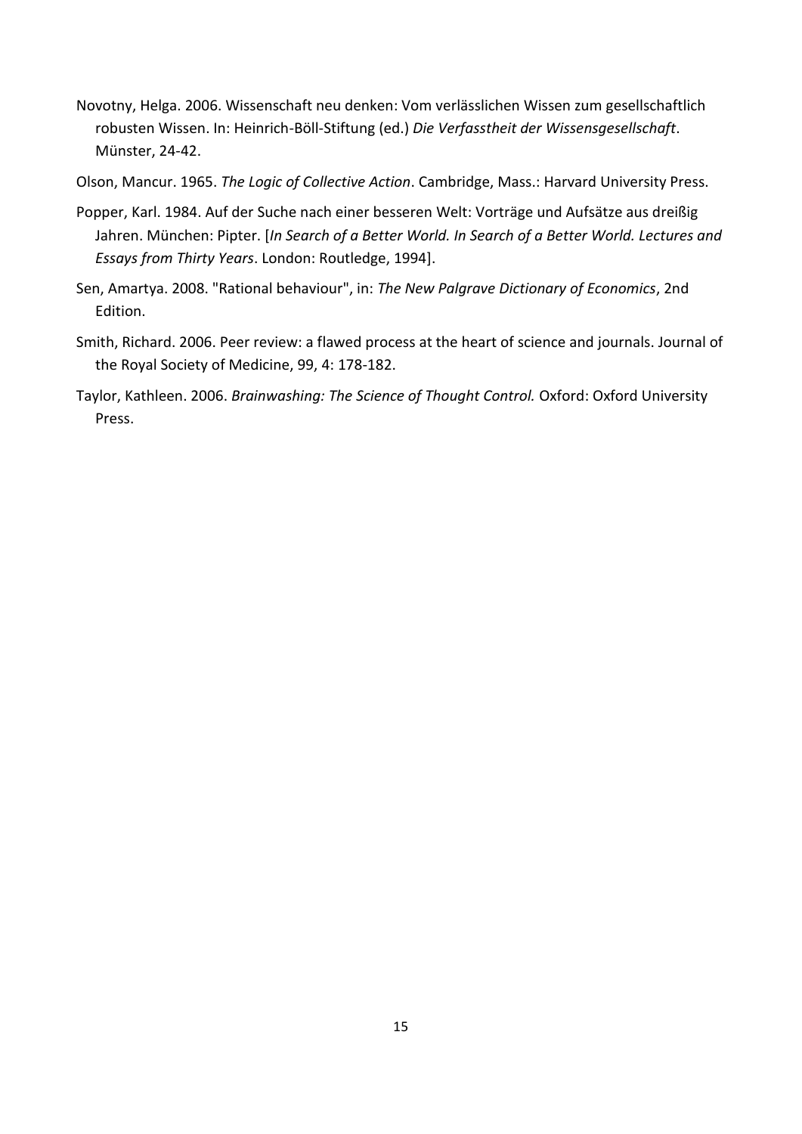Novotny, Helga. 2006. Wissenschaft neu denken: Vom verlässlichen Wissen zum gesellschaftlich robusten Wissen. In: Heinrich-Böll-Stiftung (ed.) *Die Verfasstheit der Wissensgesellschaft*. Münster, 24-42.

Olson, Mancur. 1965. *The Logic of Collective Action*. Cambridge, Mass.: Harvard University Press.

- Popper, Karl. 1984. Auf der Suche nach einer besseren Welt: Vorträge und Aufsätze aus dreißig Jahren. München: Pipter. [*In Search of a Better World. In Search of a Better World. Lectures and Essays from Thirty Years*. London: Routledge, 1994].
- Sen, Amartya. 2008. "Rational behaviour", in: *The New Palgrave Dictionary of Economics*, 2nd Edition.
- Smith, Richard. 2006. Peer review: a flawed process at the heart of science and journals. Journal of the Royal Society of Medicine, 99, 4: 178-182.
- Taylor, Kathleen. 2006. *Brainwashing: The Science of Thought Control.* Oxford: Oxford University Press.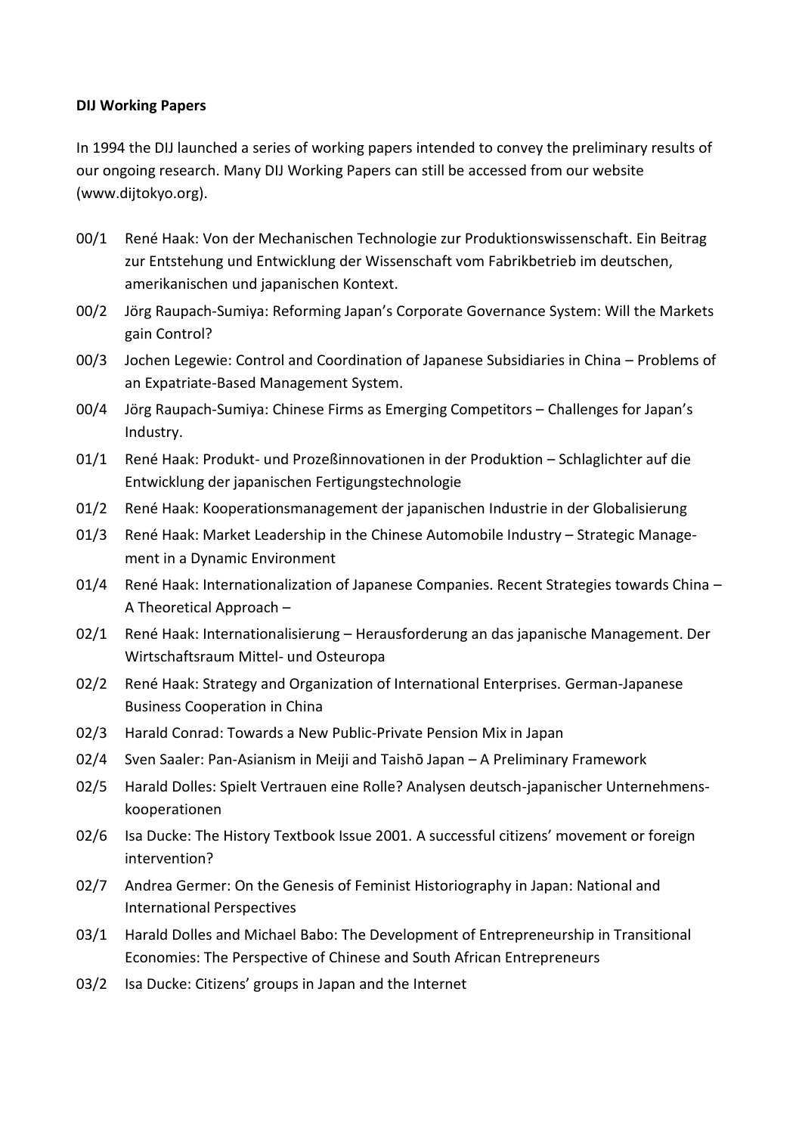#### **DIJ Working Papers**

In 1994 the DIJ launched a series of working papers intended to convey the preliminary results of our ongoing research. Many DIJ Working Papers can still be accessed from our website (www.dijtokyo.org).

- 00/1 René Haak: Von der Mechanischen Technologie zur Produktionswissenschaft. Ein Beitrag zur Entstehung und Entwicklung der Wissenschaft vom Fabrikbetrieb im deutschen, amerikanischen und japanischen Kontext.
- 00/2 Jörg Raupach-Sumiya: Reforming Japan's Corporate Governance System: Will the Markets gain Control?
- 00/3 Jochen Legewie: Control and Coordination of Japanese Subsidiaries in China Problems of an Expatriate-Based Management System.
- 00/4 Jörg Raupach-Sumiya: Chinese Firms as Emerging Competitors Challenges for Japan's Industry.
- 01/1 René Haak: Produkt- und Prozeßinnovationen in der Produktion Schlaglichter auf die Entwicklung der japanischen Fertigungstechnologie
- 01/2 René Haak: Kooperationsmanagement der japanischen Industrie in der Globalisierung
- 01/3 René Haak: Market Leadership in the Chinese Automobile Industry Strategic Management in a Dynamic Environment
- 01/4 René Haak: Internationalization of Japanese Companies. Recent Strategies towards China -A Theoretical Approach –
- 02/1 René Haak: Internationalisierung Herausforderung an das japanische Management. Der Wirtschaftsraum Mittel- und Osteuropa
- 02/2 René Haak: Strategy and Organization of International Enterprises. German-Japanese Business Cooperation in China
- 02/3 Harald Conrad: Towards a New Public-Private Pension Mix in Japan
- 02/4 Sven Saaler: Pan-Asianism in Meiji and Taishō Japan A Preliminary Framework
- 02/5 Harald Dolles: Spielt Vertrauen eine Rolle? Analysen deutsch-japanischer Unternehmenskooperationen
- 02/6 Isa Ducke: The History Textbook Issue 2001. A successful citizens' movement or foreign intervention?
- 02/7 Andrea Germer: On the Genesis of Feminist Historiography in Japan: National and International Perspectives
- 03/1 Harald Dolles and Michael Babo: The Development of Entrepreneurship in Transitional Economies: The Perspective of Chinese and South African Entrepreneurs
- 03/2 Isa Ducke: Citizens' groups in Japan and the Internet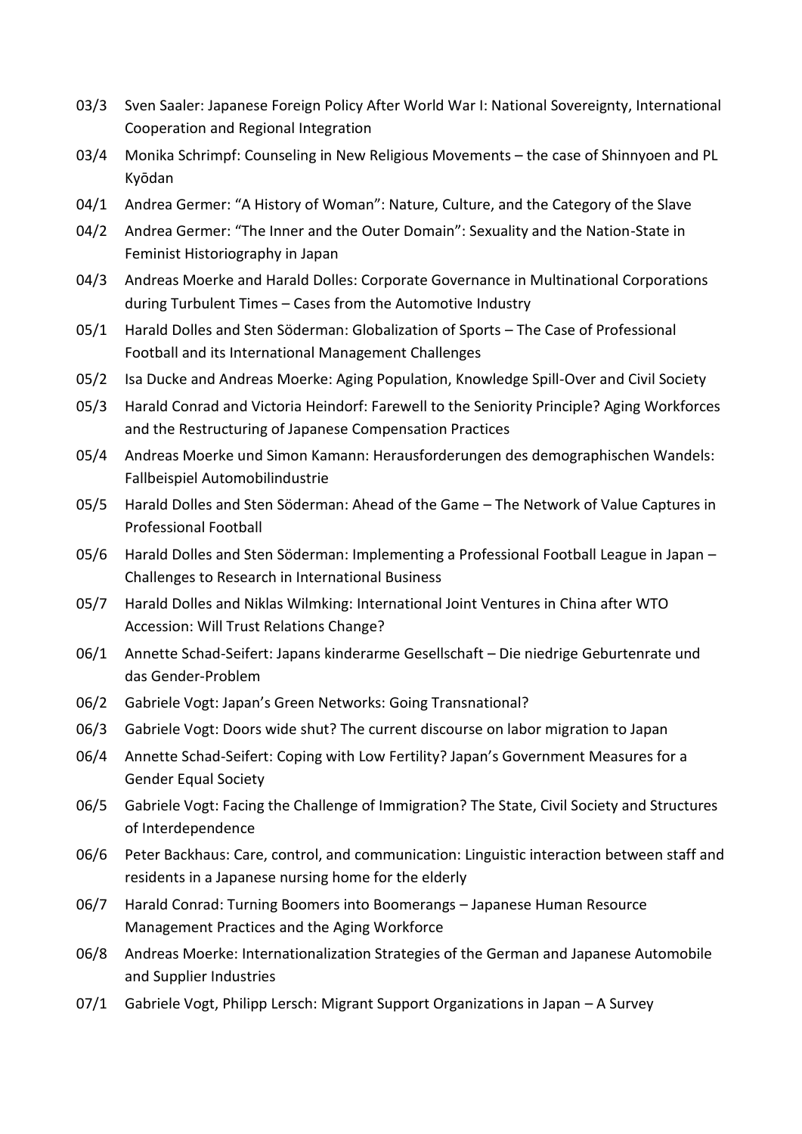- 03/3 Sven Saaler: Japanese Foreign Policy After World War I: National Sovereignty, International Cooperation and Regional Integration
- 03/4 Monika Schrimpf: Counseling in New Religious Movements the case of Shinnyoen and PL Kyōdan
- 04/1 Andrea Germer: "A History of Woman": Nature, Culture, and the Category of the Slave
- 04/2 Andrea Germer: "The Inner and the Outer Domain": Sexuality and the Nation-State in Feminist Historiography in Japan
- 04/3 Andreas Moerke and Harald Dolles: Corporate Governance in Multinational Corporations during Turbulent Times – Cases from the Automotive Industry
- 05/1 Harald Dolles and Sten Söderman: Globalization of Sports The Case of Professional Football and its International Management Challenges
- 05/2 Isa Ducke and Andreas Moerke: Aging Population, Knowledge Spill-Over and Civil Society
- 05/3 Harald Conrad and Victoria Heindorf: Farewell to the Seniority Principle? Aging Workforces and the Restructuring of Japanese Compensation Practices
- 05/4 Andreas Moerke und Simon Kamann: Herausforderungen des demographischen Wandels: Fallbeispiel Automobilindustrie
- 05/5 Harald Dolles and Sten Söderman: Ahead of the Game The Network of Value Captures in Professional Football
- 05/6 Harald Dolles and Sten Söderman: Implementing a Professional Football League in Japan Challenges to Research in International Business
- 05/7 Harald Dolles and Niklas Wilmking: International Joint Ventures in China after WTO Accession: Will Trust Relations Change?
- 06/1 Annette Schad-Seifert: Japans kinderarme Gesellschaft Die niedrige Geburtenrate und das Gender-Problem
- 06/2 Gabriele Vogt: Japan's Green Networks: Going Transnational?
- 06/3 Gabriele Vogt: Doors wide shut? The current discourse on labor migration to Japan
- 06/4 Annette Schad-Seifert: Coping with Low Fertility? Japan's Government Measures for a Gender Equal Society
- 06/5 Gabriele Vogt: Facing the Challenge of Immigration? The State, Civil Society and Structures of Interdependence
- 06/6 Peter Backhaus: Care, control, and communication: Linguistic interaction between staff and residents in a Japanese nursing home for the elderly
- 06/7 Harald Conrad: Turning Boomers into Boomerangs Japanese Human Resource Management Practices and the Aging Workforce
- 06/8 Andreas Moerke: Internationalization Strategies of the German and Japanese Automobile and Supplier Industries
- 07/1 Gabriele Vogt, Philipp Lersch: Migrant Support Organizations in Japan A Survey